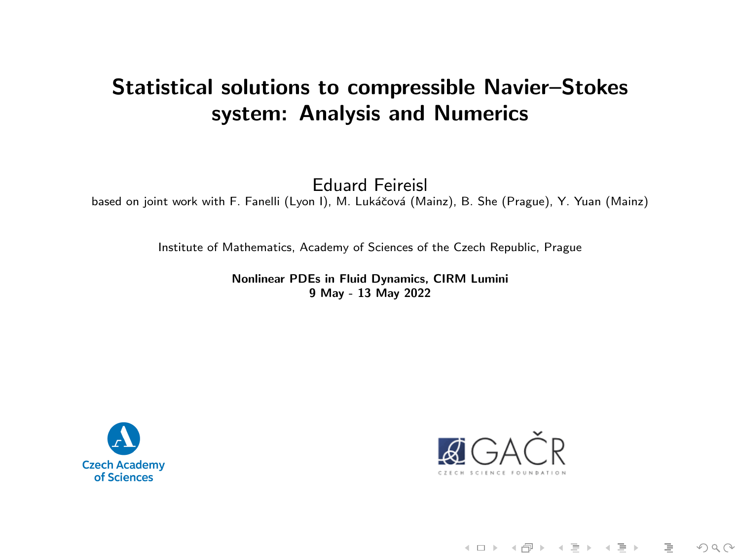# Statistical solutions to compressible Navier–Stokes system: Analysis and Numerics

Eduard Feireisl

based on joint work with F. Fanelli (Lyon I), M. Lukáčová (Mainz), B. She (Prague), Y. Yuan (Mainz)

Institute of Mathematics, Academy of Sciences of the Czech Republic, Prague

Nonlinear PDEs in Fluid Dynamics, CIRM Lumini 9 May - 13 May 2022





《 ロ 》 《 *同 》* 《 三 》 《 三 》 ○ 三 三  $OQ$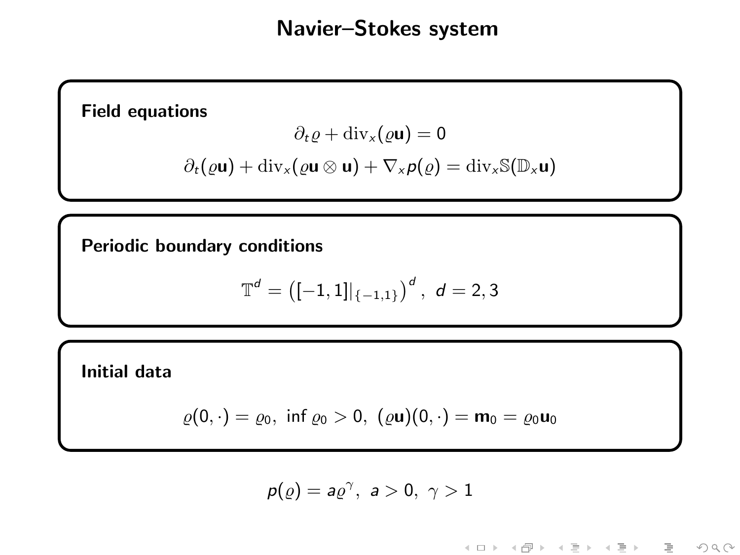# Navier–Stokes system

Field equations

$$
\partial_t \varrho + \mathrm{div}_x(\varrho \mathbf{u}) = 0
$$

$$
\partial_t(\varrho \mathbf{u}) + \mathrm{div}_x(\varrho \mathbf{u} \otimes \mathbf{u}) + \nabla_x \rho(\varrho) = \mathrm{div}_x \mathbb{S}(\mathbb{D}_x \mathbf{u})
$$

Periodic boundary conditions

$$
\mathbb{T}^d = \big([-1,1]|_{\{-1,1\}}\big)^d\,,\,\,d=2,3
$$

Initial data

$$
\varrho(0,\cdot)=\varrho_0,\,\,\text{inf}\,\varrho_0>0,\,\,(\varrho\mathbf{u})(0,\cdot)=\mathbf{m}_0=\varrho_0\mathbf{u}_0
$$

$$
p(\varrho)=a\varrho^{\gamma},\ a>0,\ \gamma>1
$$

K ロ > K 레 > K 프 > K 콘 > 트 콘 → 9 Q Q\*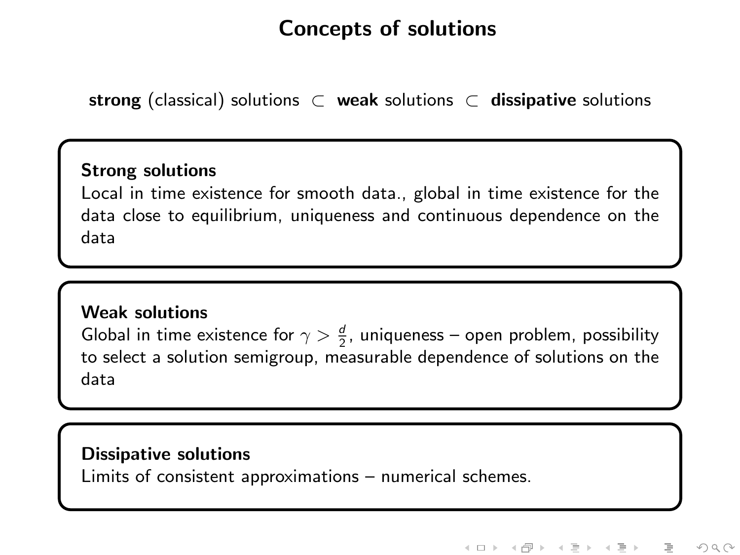# Concepts of solutions

strong (classical) solutions  $\subset$  weak solutions  $\subset$  dissipative solutions

#### Strong solutions

Local in time existence for smooth data., global in time existence for the data close to equilibrium, uniqueness and continuous dependence on the data

#### Weak solutions

Global in time existence for  $\gamma > \frac{d}{2}$ , uniqueness – open problem, possibility to select a solution semigroup, measurable dependence of solutions on the data

#### Dissipative solutions

Limits of consistent approximations – numerical schemes.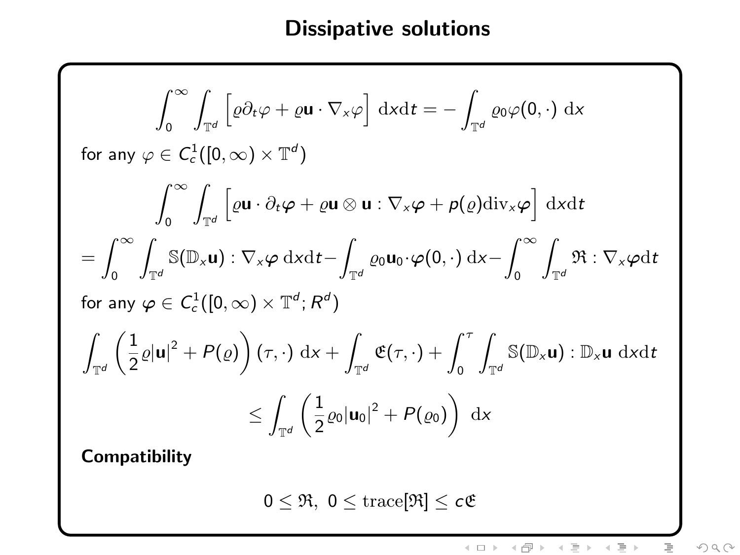# Dissipative solutions

$$
\int_{0}^{\infty} \int_{\mathbb{T}^{d}} \left[ \varrho \partial_{t} \varphi + \varrho \mathbf{u} \cdot \nabla_{x} \varphi \right] dxdt = -\int_{\mathbb{T}^{d}} \varrho_{0} \varphi(0, \cdot) dx
$$
  
\nfor any  $\varphi \in C_{c}^{1}([0, \infty) \times \mathbb{T}^{d})$   
\n
$$
\int_{0}^{\infty} \int_{\mathbb{T}^{d}} \left[ \varrho \mathbf{u} \cdot \partial_{t} \varphi + \varrho \mathbf{u} \otimes \mathbf{u} : \nabla_{x} \varphi + \rho(\varrho) \mathrm{div}_{x} \varphi \right] dxdt
$$
  
\n
$$
= \int_{0}^{\infty} \int_{\mathbb{T}^{d}} \mathbb{S}(\mathbb{D}_{x} \mathbf{u}) : \nabla_{x} \varphi dxdt - \int_{\mathbb{T}^{d}} \varrho_{0} \mathbf{u}_{0} \cdot \varphi(0, \cdot) dx - \int_{0}^{\infty} \int_{\mathbb{T}^{d}} \mathfrak{R} : \nabla_{x} \varphi dt
$$
  
\nfor any  $\varphi \in C_{c}^{1}([0, \infty) \times \mathbb{T}^{d}; R^{d})$   
\n
$$
\int_{\mathbb{T}^{d}} \left( \frac{1}{2} \varrho |\mathbf{u}|^{2} + P(\varrho) \right) (\tau, \cdot) dx + \int_{\mathbb{T}^{d}} \mathfrak{E}(\tau, \cdot) + \int_{0}^{\tau} \int_{\mathbb{T}^{d}} \mathbb{S}(\mathbb{D}_{x} \mathbf{u}) : \mathbb{D}_{x} \mathbf{u} dxdt
$$
  
\n
$$
\leq \int_{\mathbb{T}^{d}} \left( \frac{1}{2} \varrho_{0} |\mathbf{u}_{0}|^{2} + P(\varrho_{0}) \right) dx
$$

Compatibility

 $0 \leq \Re, 0 \leq \operatorname{trace}[\Re] \leq c\mathfrak{E}$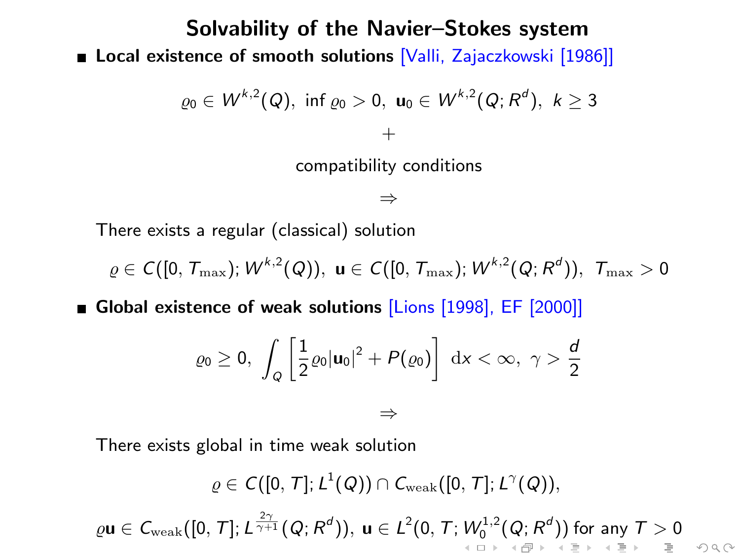### Solvability of the Navier–Stokes system Local existence of smooth solutions [Valli, Zajaczkowski [1986]]

$$
\varrho_0 \in W^{k,2}(Q), \text{ inf } \varrho_0 > 0, \mathbf{u}_0 \in W^{k,2}(Q; R^d), k \ge 3
$$
  
+  
compatibility conditions

⇒

There exists a regular (classical) solution

 $\varrho \in \mathcal{C}([0,\,T_{\max});\,W^{k,2}(Q)),\,\, \mathbf{u} \in \mathcal{C}([0,\,T_{\max});\,W^{k,2}(Q;R^{d})),\,\,T_{\max} > 0$ 

Global existence of weak solutions [Lions [1998], EF [2000]]

$$
\varrho_0 \ge 0, \int_{Q} \left[ \frac{1}{2} \varrho_0 |u_0|^2 + P(\varrho_0) \right] dx < \infty, \ \gamma > \frac{d}{2}
$$

⇒

There exists global in time weak solution

$$
\varrho\in C([0,\,T];\,L^1(Q))\cap C_{\rm weak}([0,\,T];\,L^\gamma(Q)),\\
$$
 
$$
\varrho {\bf u}\in C_{\rm weak}([0,\,T];\,L^{\frac{2\gamma}{\gamma+1}}(Q;\,R^d)),\, {\bf u}\in L^2(0,\,T\,;\,W^{1,2}_0(Q;\,R^d))\,\,\text{for any}\,\,T>0\\qquad \qquad +\infty\,\,\text{as}\,\,r\,\,\text{as}\,\,r\,\,\text{as}\,\,r\,\,\text{as}\,\,r\,\,\text{as}\,\,r\,\,\text{as}\,\,r\,\,\text{as}\,\,r\,\,\text{as}\,\,r\,\,\text{as}\,\,r\,\,\text{as}\,\,r\,\,\text{as}\,\,r\,\,\text{as}\,\,r\,\,\text{as}\,\,r\,\,\text{as}\,\,r\,\,\text{as}\,\,r\,\,\text{as}\,\,r\,\,\text{as}\,\,r\,\,\text{as}\,\,r\,\,\text{as}\,\,r\,\,\text{as}\,\,r\,\,\text{as}\,\,r\,\,\text{as}\,\,r\,\,\text{as}\,\,r\,\,\text{as}\,\,r\,\,\text{as}\,\,r\,\,\text{as}\,\,r\,\,\text{as}\,\,r\,\,\text{as}\,\,r\,\,\text{as}\,\,r\,\,\text{as}\,\,r\,\,\text{as}\,\,r\,\,\text{as}\,\,r\,\,\text{as}\,\,r\,\,\text{as}\,\,r\,\,\text{as}\,\,r\,\,\text{as}\,\,r\,\,\text{as}\,\,r\,\,\text{as}\,\,r\,\,\text{as}\,\,r\,\,\text{as}\,\,r\,\,\text{as}\,\,r\,\,\text{as}\,\,r\,\,\text{as}\,\,r\,\,\text{as}\,\,r\,\,\text{as}\,\,r\,\,\text{as}\,\,r\,\,\text{as}\,\,r\,\,\text{as}\,\,r\,\,\text{as}\,\,r\,\,\text{as}\,\,r\,\,\text{as}\,\,r\,\,\text{as}\,\,r\,\,\text{as}\,\,r\,\,\text{as}\,\,r\,\,\text{as}\,\,r\,\,\text{as}\,\,r\,\,\text{as}\,\,r\,\,\text{as}\,\,r\,\,\text{as}\,\,r\,\,\text{as}\,\,r\,\,\text{as}\,\,r\
$$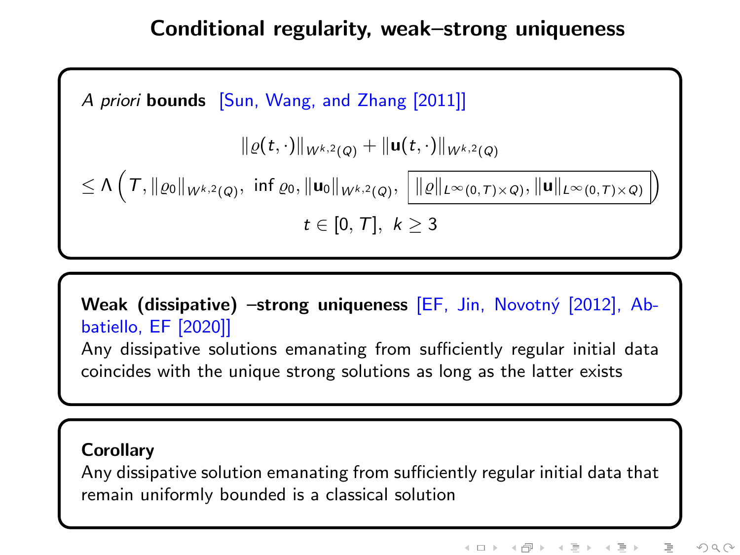# Conditional regularity, weak–strong uniqueness



Weak (dissipative) –strong uniqueness [EF, Jin, Novotný [2012], Abbatiello, EF [2020]] Any dissipative solutions emanating from sufficiently regular initial data coincides with the unique strong solutions as long as the latter exists

#### **Corollary**

Any dissipative solution emanating from sufficiently regular initial data that remain uniformly bounded is a classical solution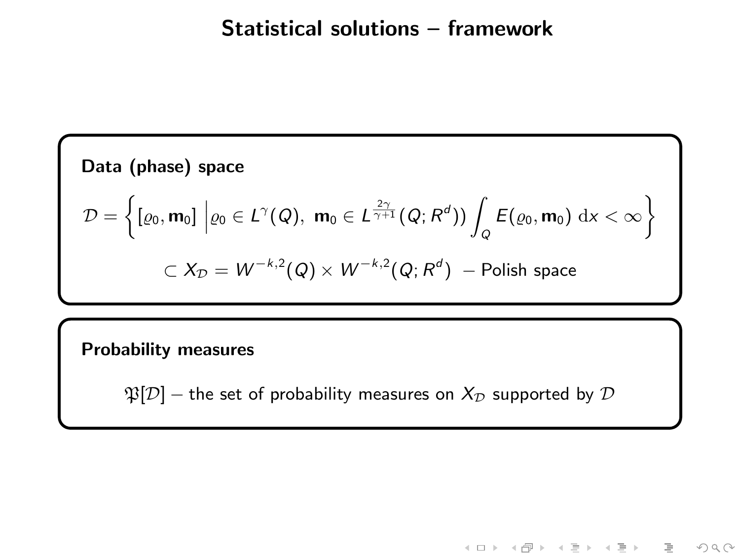### Statistical solutions – framework

**Data (phase) space**  
\n
$$
\mathcal{D} = \left\{ [\varrho_0, \mathbf{m}_0] \middle| \varrho_0 \in L^{\gamma}(Q), \mathbf{m}_0 \in L^{\frac{2\gamma}{\gamma+1}}(Q; R^d)) \int_Q E(\varrho_0, \mathbf{m}_0) \, dx < \infty \right\}
$$
\n
$$
\subset X_{\mathcal{D}} = W^{-k,2}(Q) \times W^{-k,2}(Q; R^d) - \text{Polish space}
$$

#### Probability measures

 $\mathfrak{P}[\mathcal{D}]$  – the set of probability measures on  $X_{\mathcal{D}}$  supported by  $\mathcal D$ 

K ロ > K 레 > K 프 > K 프 > H 콘 → O Q Q\*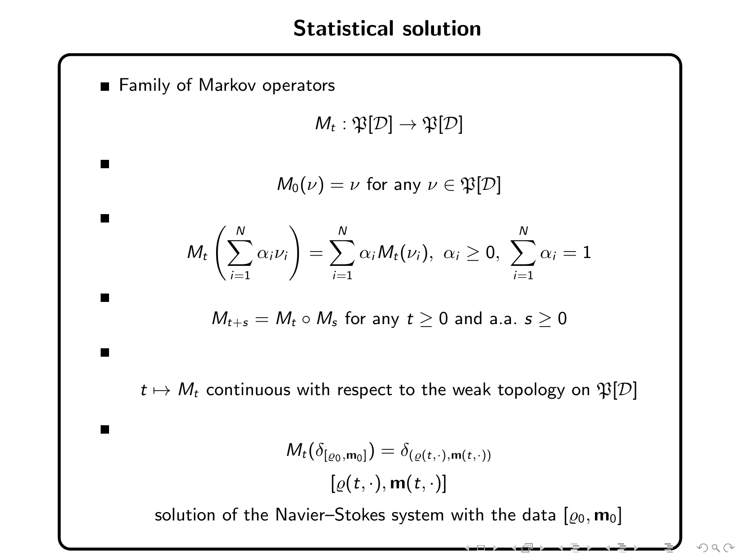### Statistical solution

**Family of Markov operators** 

п

п

ш

 $M_t : \mathfrak{P}[\mathcal{D}] \rightarrow \mathfrak{P}[\mathcal{D}]$ 

 $M_0(\nu) = \nu$  for any  $\nu \in \mathfrak{P}[\mathcal{D}]$ 

$$
M_t\left(\sum_{i=1}^N\alpha_i\nu_i\right)=\sum_{i=1}^N\alpha_iM_t(\nu_i),\,\,\alpha_i\geq 0,\,\,\sum_{i=1}^N\alpha_i=1
$$

$$
M_{t+s}=M_t\circ M_s \text{ for any } t\geq 0 \text{ and a.a. } s\geq 0
$$

 $t \mapsto M_t$  continuous with respect to the weak topology on  $\mathfrak{P}[\mathcal{D}]$ 

$$
M_t(\delta_{[\varrho_0,m_0]})=\delta_{(\varrho(t,\cdot),m(t,\cdot))}
$$

$$
[\varrho(t,\cdot),m(t,\cdot)]
$$

solution of the Navier–Stokes system with the data  $[\varrho_0, \mathbf{m}_0]$ 

من کو سر ساند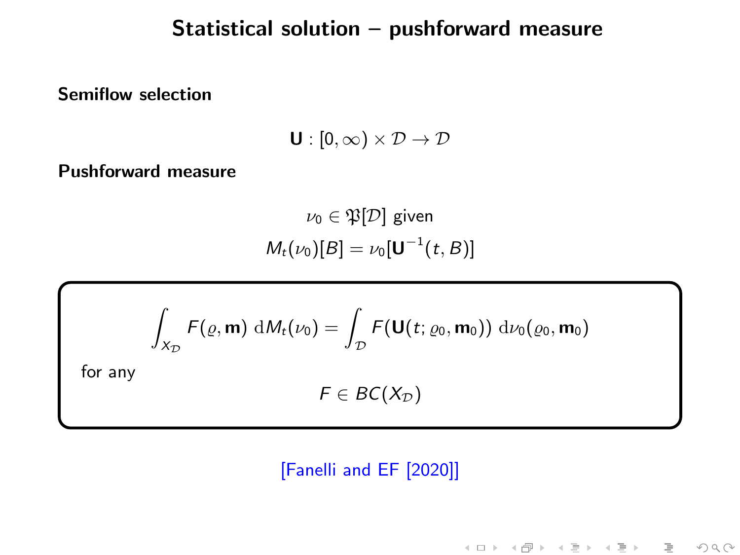### Statistical solution – pushforward measure

Semiflow selection

 $U : [0, \infty) \times \mathcal{D} \rightarrow \mathcal{D}$ 

Pushforward measure

 $\nu_0 \in \mathfrak{P}[\mathcal{D}]$  given  $M_t(\nu_0)[B] = \nu_0[\mathbf{U}^{-1}(t,B)]$ 

$$
\int_{X_{\mathcal{D}}} F(\varrho, \mathbf{m}) \, dM_t(\nu_0) = \int_{\mathcal{D}} F(\mathbf{U}(t; \varrho_0, \mathbf{m}_0)) \, d\nu_0(\varrho_0, \mathbf{m}_0)
$$
\nfor any

\n
$$
F \in BC(X_{\mathcal{D}})
$$

#### [Fanelli and EF [2020]]

《ロ》 《御》 《君》 《君》 《君》

 $\begin{picture}(160,170) \put(0,0){\line(1,0){10}} \put(10,0){\line(1,0){10}} \put(10,0){\line(1,0){10}} \put(10,0){\line(1,0){10}} \put(10,0){\line(1,0){10}} \put(10,0){\line(1,0){10}} \put(10,0){\line(1,0){10}} \put(10,0){\line(1,0){10}} \put(10,0){\line(1,0){10}} \put(10,0){\line(1,0){10}} \put(10,0){\line(1,0){10}} \put(10,0){\line$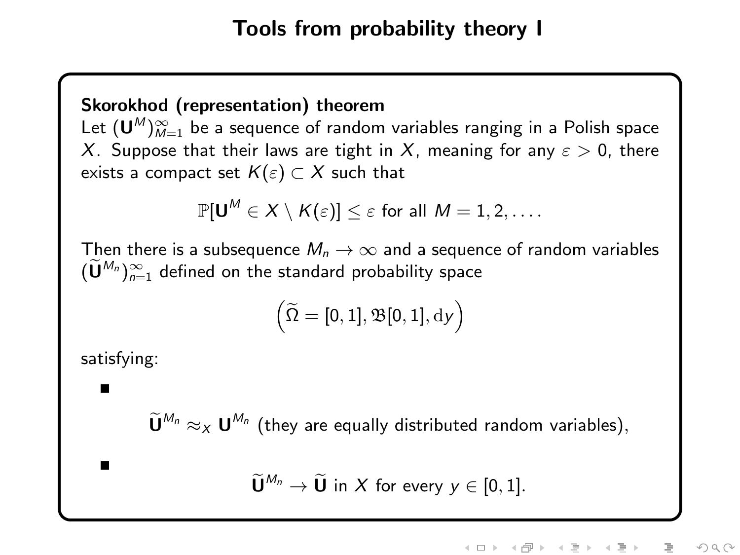#### Skorokhod (representation) theorem

Let  $({\mathsf{U}}^{\mathcal{M}})_{\mathcal{M}=1}^\infty$  be a sequence of random variables ranging in a Polish space X. Suppose that their laws are tight in X, meaning for any  $\varepsilon > 0$ , there exists a compact set  $K(\varepsilon) \subset X$  such that

$$
\mathbb{P}[\mathsf{U}^M \in X \setminus K(\varepsilon)] \leq \varepsilon \text{ for all } M=1,2,\ldots.
$$

Then there is a subsequence  $M_n \to \infty$  and a sequence of random variables  $(\check{\mathbf{U}}^{M_n})_{n=1}^{\infty}$  defined on the standard probability space

$$
\left(\widetilde{\Omega}=[0,1],\mathfrak{B}[0,1],\mathrm{d} y\right)
$$

satisfying:

 $\widetilde{\mathbf{U}}^{M_n} \approx_{X} \mathbf{U}^{M_n}$  (they are equally distributed random variables),

 $\widetilde{\mathbf{U}}^{M_n} \to \widetilde{\mathbf{U}}$  in X for every  $y \in [0, 1]$ .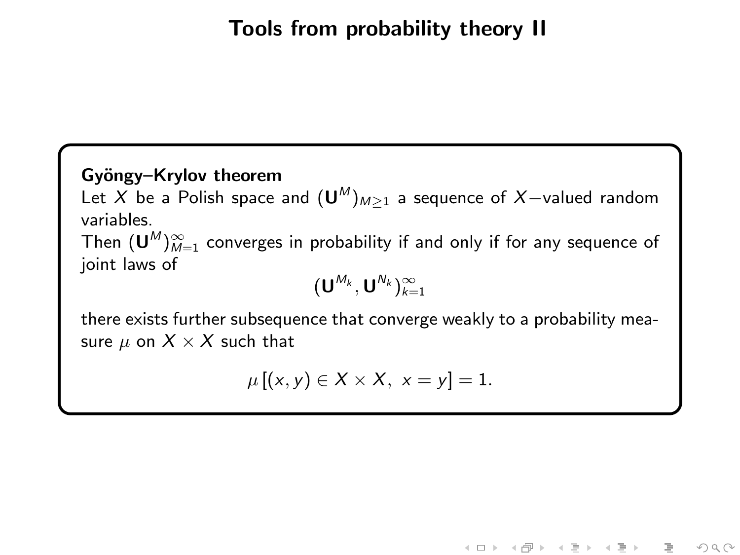# Tools from probability theory II

#### Gyöngy–Krylov theorem

Let  $X$  be a Polish space and  $(\mathsf{U}^M)_{M\geq 1}$  a sequence of  $X-$ valued random variables.

Then  $({\mathsf{U}}^M)_{M=1}^\infty$  converges in probability if and only if for any sequence of joint laws of

$$
(\boldsymbol{\mathsf{U}}^{\mathit{M}_k},\boldsymbol{\mathsf{U}}^{\mathit{N}_k})_{k=1}^\infty
$$

there exists further subsequence that converge weakly to a probability measure  $\mu$  on  $X \times X$  such that

$$
\mu [(x, y) \in X \times X, x = y] = 1.
$$

《ロト 《母》 《ヨト 《吾》

 $OQ$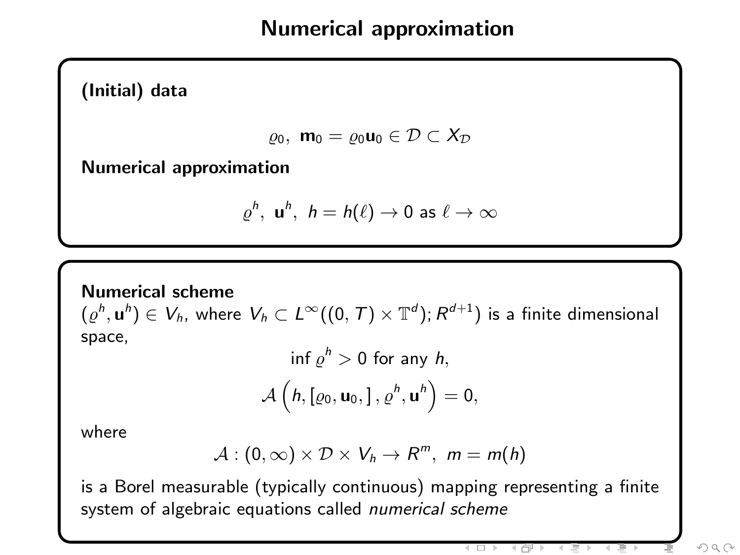### Numerical approximation

(Initial) data

$$
\varrho_0,\ \mathbf{m}_0=\varrho_0\mathbf{u}_0\in\mathcal{D}\subset X_\mathcal{D}
$$

Numerical approximation

$$
\varrho^h, \ \mathbf{u}^h, \ h = h(\ell) \to 0 \text{ as } \ell \to \infty
$$

#### Numerical scheme

 $(\varrho^h, \mathbf{u}^h) \in V_h$ , where  $V_h \subset L^\infty((0,\,T) \times \mathbb{T}^d)$ ;  $R^{d+1})$  is a finite dimensional space,

$$
\inf \varrho^h > 0 \text{ for any } h,
$$
  

$$
\mathcal{A}\left(h, [\varrho_0, \mathbf{u}_0,], \varrho^h, \mathbf{u}^h\right) = 0,
$$

where

$$
\mathcal{A}:(0,\infty)\times\mathcal{D}\times V_h\rightarrow R^m, m=m(h)
$$

is a Borel measurable (typically continuous) mapping representing a finite system of algebraic equations called numerical scheme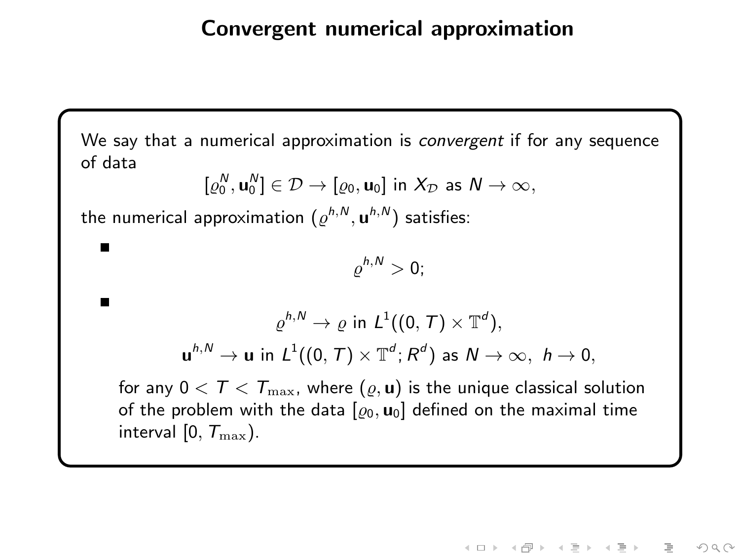### Convergent numerical approximation

We say that a numerical approximation is *convergent* if for any sequence of data

$$
[\varrho_0^N, \mathbf{u}_0^N] \in \mathcal{D} \to [\varrho_0, \mathbf{u}_0] \text{ in } X_{\mathcal{D}} \text{ as } N \to \infty,
$$

the numerical approximation  $(\varrho^{h,\mathsf{N}},\mathbf{u}^{h,\mathsf{N}})$  satisfies:

 $\blacksquare$ 

$$
\varrho^{h,N}>0;
$$

$$
\varrho^{h,N}\to\varrho\,\,\text{in}\,\,L^1((0,\,T)\times\mathbb{T}^d),\\ \mathbf{u}^{h,N}\to\mathbf{u}\,\,\text{in}\,\,L^1((0,\,T)\times\mathbb{T}^d;\,R^d)\,\,\text{as}\,\,N\to\infty,\,\,h\to0,
$$

for any  $0 < T < T_{\text{max}}$ , where  $(\varrho, \mathbf{u})$  is the unique classical solution of the problem with the data  $[\varrho_0, \mathbf{u}_0]$  defined on the maximal time interval  $[0, T_{\text{max}})$ .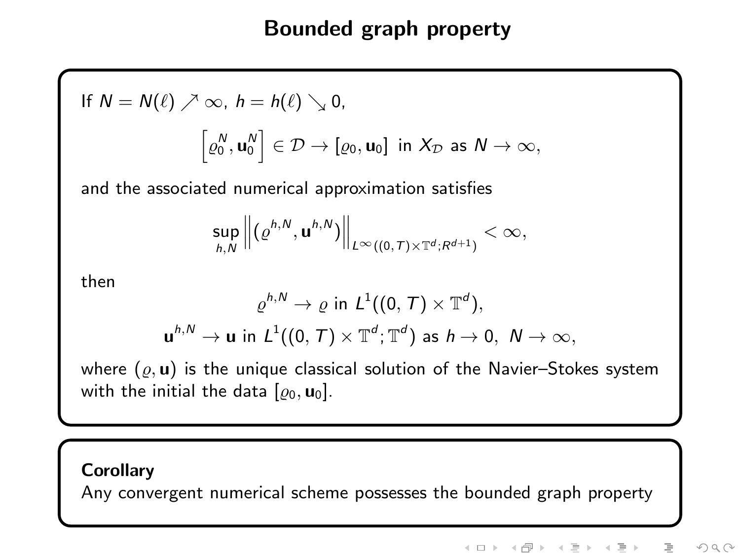# Bounded graph property

If 
$$
N = N(\ell) \nearrow \infty
$$
,  $h = h(\ell) \searrow 0$ ,  

$$
\left[\varrho_0^N, \mathbf{u}_0^N\right] \in \mathcal{D} \to \left[\varrho_0, \mathbf{u}_0\right] \text{ in } X_{\mathcal{D}} \text{ as } N \to \infty,
$$

and the associated numerical approximation satisfies

$$
\sup_{h,N}\left\|\left(\varrho^{h,N},\mathbf{u}^{h,N}\right)\right\|_{L^{\infty}((0,T)\times\mathbb{T}^{d};R^{d+1})}<\infty,
$$

then

$$
\varrho^{h,N}\to\varrho\,\,\text{in}\,\,L^1((0,\,\mathcal{T})\times\mathbb{T}^d),
$$
  

$$
\mathbf{u}^{h,N}\to\mathbf{u}\,\,\text{in}\,\,L^1((0,\,\mathcal{T})\times\mathbb{T}^d;\mathbb{T}^d)\,\,\text{as}\,\,h\to0,\,\,N\to\infty,
$$

where  $(\varrho, \mathbf{u})$  is the unique classical solution of the Navier–Stokes system with the initial the data  $[\varrho_0, \mathbf{u}_0]$ .

#### **Corollary**

Any convergent numerical scheme possesses the bounded graph property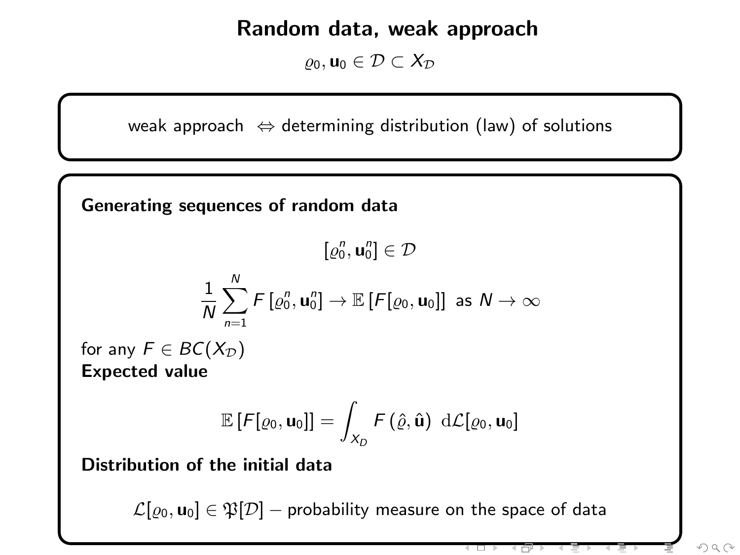### Random data, weak approach

 $\rho_0$ , u<sub>0</sub> ∈  $\mathcal{D} \subset X_{\mathcal{D}}$ 

weak approach  $\Leftrightarrow$  determining distribution (law) of solutions

Generating sequences of random data

 $[\varrho_0^n, \mathbf{u}_0^n] \in \mathcal{D}$ 

$$
\frac{1}{N}\sum_{n=1}^N \digamma[\varrho_0^n,\mathbf{u}_0^n] \to \mathbb{E}\left[\digamma[\varrho_0,\mathbf{u}_0]\right] \text{ as } N\to\infty
$$

for any  $F \in BC(X_{\mathcal{D}})$ Expected value

$$
\mathbb{E}\left[F[\varrho_0,\mathbf{u}_0]\right]=\int_{X_D}F\left(\hat{\varrho},\hat{\mathbf{u}}\right)\,\mathrm{d}\mathcal{L}[\varrho_0,\mathbf{u}_0]
$$

Distribution of the initial data

 $\mathcal{L}[\rho_0, \mathbf{u}_0] \in \mathfrak{P}[\mathcal{D}]$  – probability measure on the space of data

a,

 $OQ$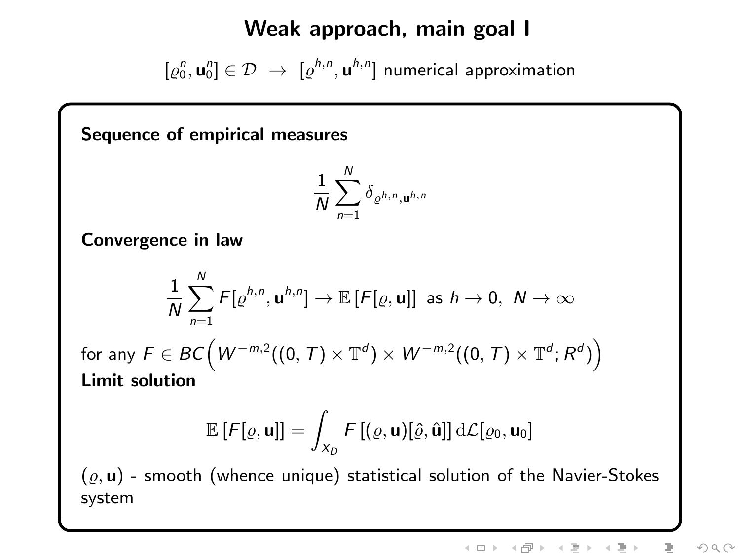### Weak approach, main goal I

 $[\varrho_0^n,\mathbf{u}_0^n]\in\mathcal{D}~\rightarrow~[\varrho^{h,n},\mathbf{u}^{h,n}]$  numerical approximation

Sequence of empirical measures

$$
\frac{1}{N}\sum_{n=1}^N \delta_{\varrho^{h,n},\mathbf{u}^{h,n}}
$$

Convergence in law

$$
\frac{1}{N}\sum_{n=1}^N F[\varrho^{h,n}, \mathbf{u}^{h,n}] \to \mathbb{E}\left[F[\varrho, \mathbf{u}]\right] \text{ as } h \to 0, N \to \infty
$$

for any  $F\in BC\Big( W^{-m,2}((0,\,T)\times\mathbb{T}^d)\times W^{-m,2}((0,\,T)\times\mathbb{T}^d;R^d) \Big)$ Limit solution

$$
\mathbb{E}\left[F[\varrho,\mathbf{u}]\right]=\int_{X_D}F\left[(\varrho,\mathbf{u})[\hat{\varrho},\hat{\mathbf{u}}]\right]d\mathcal{L}[\varrho_0,\mathbf{u}_0]
$$

- smooth (whence unique) statistical solution of the Navier-Stokes system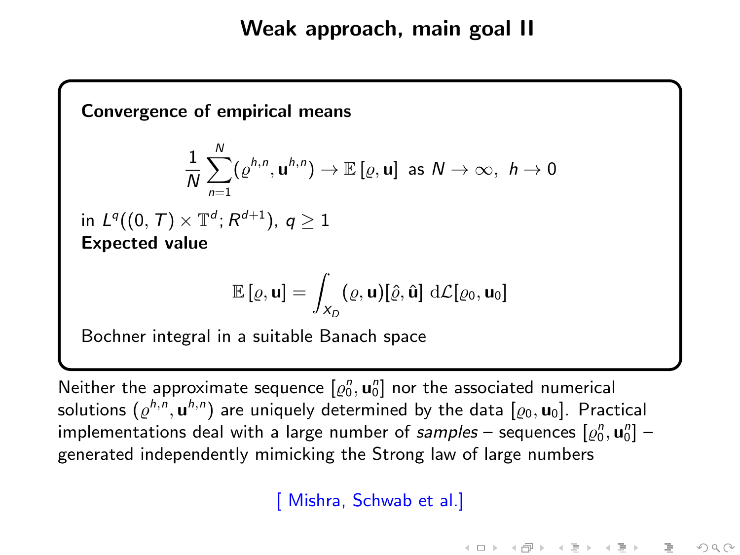

Neither the approximate sequence  $[\varrho_0^n, \textbf{u}_0^n]$  nor the associated numerical solutions  $(\varrho^{h,n},\mathbf{u}^{h,n})$  are uniquely determined by the data  $[\varrho_0,\mathbf{u}_0].$  Practical implementations deal with a large number of  $samples$  – sequences  $[\varrho_0^n, \mathbf{u}_0^n]$  – generated independently mimicking the Strong law of large numbers

[ Mishra, Schwab et al.]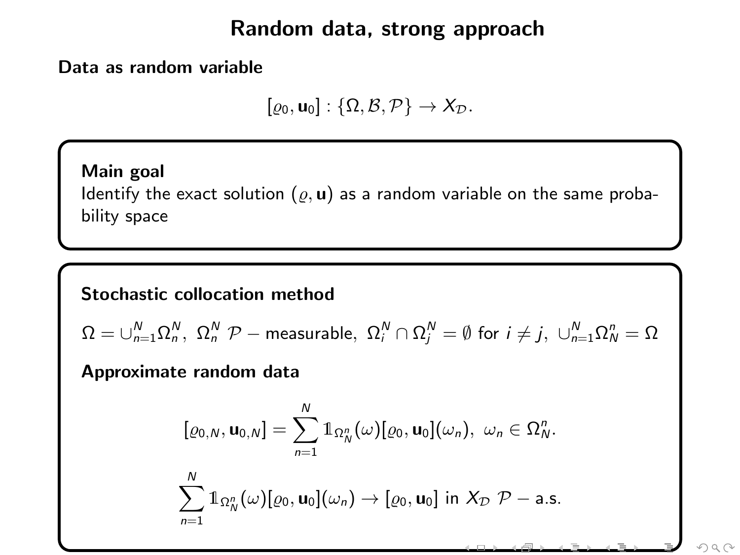### Random data, strong approach

Data as random variable

 $[\varrho_0, \mathbf{u}_0] : {\Omega, \mathcal{B}, \mathcal{P}} \rightarrow X_{\mathcal{D}}.$ 

Main goal Identify the exact solution  $(\varrho, \mathbf{u})$  as a random variable on the same probability space

Stochastic collocation method

$$
\Omega=\cup_{n=1}^N\Omega_n^N, \ \Omega_n^N \ \mathcal{P}-\text{measurable}, \ \Omega_i^N\cap\Omega_j^N=\emptyset \ \text{for} \ i\not=j, \ \cup_{n=1}^N\Omega_n^n=\Omega
$$

Approximate random data

$$
[\varrho_{0,N}, \mathbf{u}_{0,N}] = \sum_{n=1}^{N} \mathbb{1}_{\Omega_N^n}(\omega) [\varrho_0, \mathbf{u}_0](\omega_n), \ \omega_n \in \Omega_N^n.
$$
  

$$
\sum_{n=1}^{N} \mathbb{1}_{\Omega_N^n}(\omega) [\varrho_0, \mathbf{u}_0](\omega_n) \to [\varrho_0, \mathbf{u}_0] \text{ in } X_{\mathcal{D}} \ \mathcal{P}-\text{a.s.}
$$

 $OQ$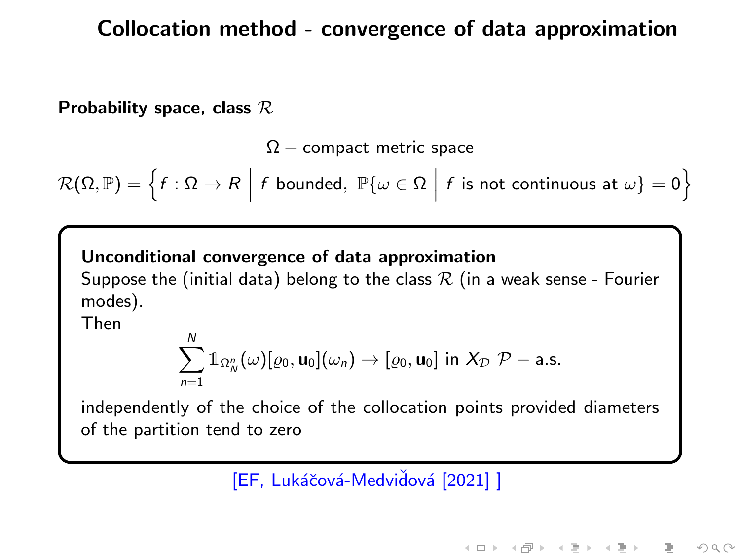### Collocation method - convergence of data approximation

Probability space, class  $\mathcal R$ 

 $\Omega$  – compact metric space

$$
\mathcal{R}(\Omega, \mathbb{P}) = \left\{ f : \Omega \to R \middle| f \text{ bounded, } \mathbb{P}\{\omega \in \Omega \middle| f \text{ is not continuous at } \omega\} = 0 \right\}
$$

Unconditional convergence of data approximation

Suppose the (initial data) belong to the class  $R$  (in a weak sense - Fourier modes).

Then

$$
\sum_{n=1}^N 1\!\!1_{\Omega_N^p}(\omega)[\varrho_0,\mathbf{u}_0](\omega_n)\to[\varrho_0,\mathbf{u}_0]\text{ in }\mathcal{X}_{\mathcal{D}}\mathcal{P}-\text{a.s.}
$$

independently of the choice of the collocation points provided diameters of the partition tend to zero

[EF, Lukáčová-Medvidová [2021] ]

イロト イ母 ト イヨ ト イヨト

 $OQ$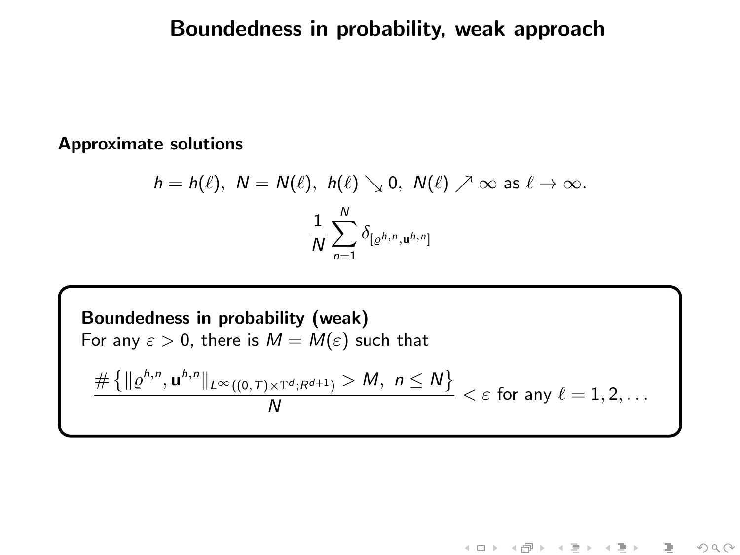# Boundedness in probability, weak approach

#### Approximate solutions

$$
h = h(\ell), \ N = N(\ell), \ h(\ell) \searrow 0, \ N(\ell) \nearrow \infty \text{ as } \ell \to \infty.
$$

$$
\frac{1}{N} \sum_{n=1}^{N} \delta_{[\varrho^{h,n}, u^{h,n}]}
$$

Boundedness in probability (weak)  
\nFor any 
$$
\varepsilon > 0
$$
, there is  $M = M(\varepsilon)$  such that  
\n
$$
\frac{\# \{ \|\varrho^{h,n}, \mathbf{u}^{h,n} \|_{L^{\infty}((0,T)\times\mathbb{T}^d; R^{d+1})} > M, n \leq N \}}{N} < \varepsilon
$$
 for any  $\ell = 1, 2, ...$ 

《ロ》 《御》 《君》 《君》 《君

 $\begin{picture}(160,170) \put(0,0){\makebox(0,0){$\varphi$}} \put(150,0){\makebox(0,0){$\varphi$}} \put(150,0){\makebox(0,0){$\varphi$}} \put(150,0){\makebox(0,0){$\varphi$}} \put(150,0){\makebox(0,0){$\varphi$}} \put(150,0){\makebox(0,0){$\varphi$}} \put(150,0){\makebox(0,0){$\varphi$}} \put(150,0){\makebox(0,0){$\varphi$}} \put(150,0){\makebox(0,0){$\varphi$}} \put(150,0){\make$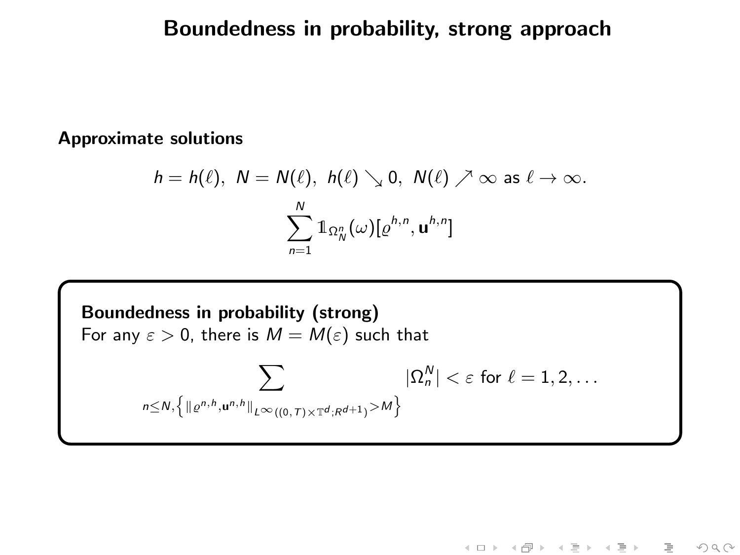# Boundedness in probability, strong approach

#### Approximate solutions

$$
h = h(\ell), \ N = N(\ell), \ h(\ell) \searrow 0, \ N(\ell) \nearrow \infty \text{ as } \ell \to \infty.
$$

$$
\sum_{n=1}^{N} \mathbb{1}_{\Omega_{N}^{n}}(\omega)[\varrho^{h,n}, \mathbf{u}^{h,n}]
$$

Boundedness in probability (strong)  
For any 
$$
\varepsilon > 0
$$
, there is  $M = M(\varepsilon)$  such that  

$$
\sum_{n \le N, \left\{ \left\| e^{n, b}, \mathbf{u}^{n, h} \right\|_{L^{\infty}((0, T) \times \mathbb{T}^{d}; R^{d+1})} > M \right\}} |\Omega_n^N| < \varepsilon \text{ for } \ell = 1, 2, ...
$$

《ロ》 《御》 《君》 《君》 《君  $\begin{picture}(160,170) \put(0,0){\makebox(0,0){$\varphi$}} \put(150,0){\makebox(0,0){$\varphi$}} \put(150,0){\makebox(0,0){$\varphi$}} \put(150,0){\makebox(0,0){$\varphi$}} \put(150,0){\makebox(0,0){$\varphi$}} \put(150,0){\makebox(0,0){$\varphi$}} \put(150,0){\makebox(0,0){$\varphi$}} \put(150,0){\makebox(0,0){$\varphi$}} \put(150,0){\makebox(0,0){$\varphi$}} \put(150,0){\make$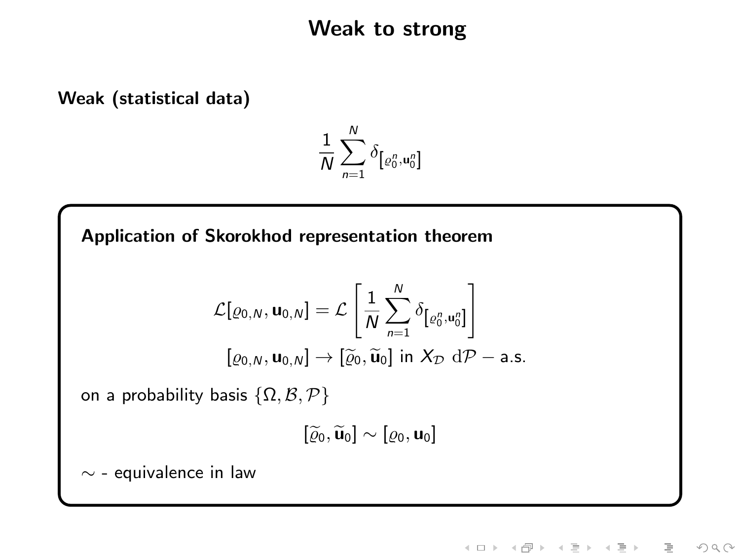### Weak to strong

Weak (statistical data)

$$
\frac{1}{N}\sum_{n=1}^N \delta_{\left[\varrho_0^n,\mathbf{u}_0^n\right]}
$$

Application of Skorokhod representation theorem

$$
\mathcal{L}[\varrho_{0,N}, \mathbf{u}_{0,N}] = \mathcal{L}\left[\frac{1}{N} \sum_{n=1}^{N} \delta_{\left[\varrho_{0}^{n}, \mathbf{u}_{0}^{n}\right]}\right]
$$

$$
[\varrho_{0,N}, \mathbf{u}_{0,N}] \rightarrow [\widetilde{\varrho}_{0}, \widetilde{\mathbf{u}}_{0}] \text{ in } X_{\mathcal{D}} \text{ d}\mathcal{P}-\text{a.s.}
$$

on a probability basis  $\{\Omega, \mathcal{B}, \mathcal{P}\}$ 

$$
[\widetilde{\varrho}_0,\widetilde{\mathbf{u}}_0]\sim[\varrho_0,\mathbf{u}_0]
$$

 $∼$  - equivalence in law

イロト イタト イミト イヨ  $\equiv$  $\rightarrow$  $OQ$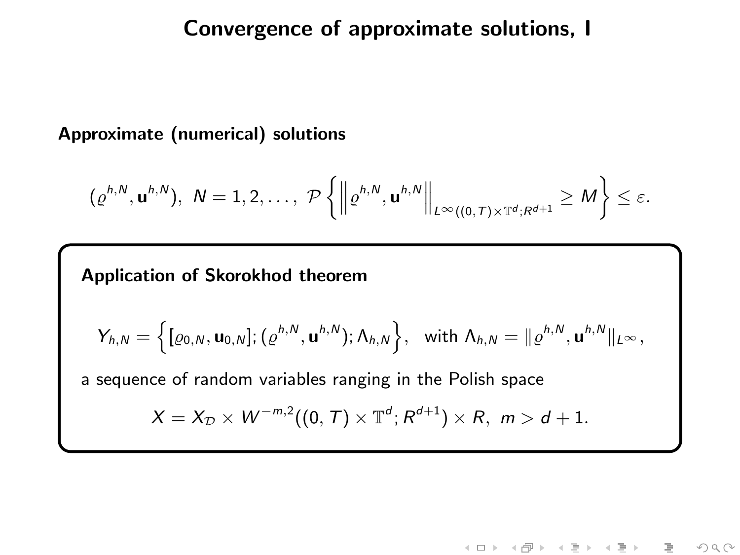### Convergence of approximate solutions, I

#### Approximate (numerical) solutions

$$
(\varrho^{h,N},\mathbf{u}^{h,N}),\ N=1,2,\ldots,\ \mathcal{P}\left\{\left\|\varrho^{h,N},\mathbf{u}^{h,N}\right\|_{L^{\infty}((0,T)\times\mathbb{T}^d;R^{d+1}}\geq M\right\}\leq\varepsilon.
$$

### Application of Skorokhod theorem

$$
Y_{h,N} = \left\{ [\varrho_{0,N}, \mathbf{u}_{0,N}]; (\varrho^{h,N}, \mathbf{u}^{h,N}); \Lambda_{h,N} \right\}, \text{ with } \Lambda_{h,N} = \|\varrho^{h,N}, \mathbf{u}^{h,N}\|_{L^{\infty}},
$$

a sequence of random variables ranging in the Polish space

$$
X=X_{\mathcal{D}}\times W^{-m,2}((0,T)\times \mathbb{T}^d;R^{d+1})\times R,\ m>d+1.
$$

イロト イ部ト イヨト イヨト  $OQ$ 目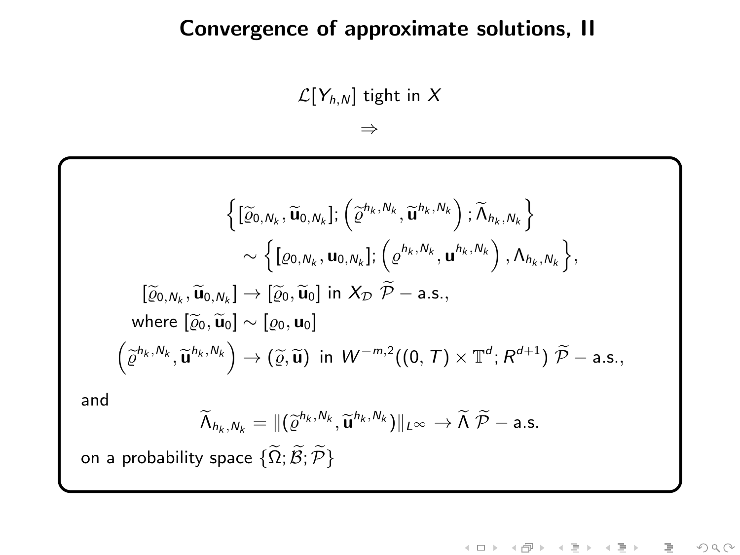### Convergence of approximate solutions, II

 $\mathcal{L}[Y_{h,N}]$  tight in X

⇒

$$
\left\{ [\widetilde{\varrho}_{0,N_k}, \widetilde{\mathbf{u}}_{0,N_k}]; (\widetilde{\varrho}^{h_k, N_k}, \widetilde{\mathbf{u}}^{h_k, N_k}) ; \widetilde{\Lambda}_{h_k, N_k} \right\} \sim \left\{ [\varrho_{0,N_k}, \mathbf{u}_{0,N_k}]; (\varrho^{h_k, N_k}, \mathbf{u}^{h_k, N_k}) , \Lambda_{h_k, N_k} \right\},
$$
  
\n
$$
[\widetilde{\varrho}_{0,N_k}, \widetilde{\mathbf{u}}_{0,N_k}] \to [\widetilde{\varrho}_{0}, \widetilde{\mathbf{u}}_{0}] \text{ in } X_{\mathcal{D}} \widetilde{\mathcal{P}} - \text{a.s.},
$$
  
\nwhere  $[\widetilde{\varrho}_{0}, \widetilde{\mathbf{u}}_{0}] \sim [\varrho_{0}, \mathbf{u}_{0}]$   
\n
$$
(\widetilde{\varrho}^{h_k, N_k}, \widetilde{\mathbf{u}}^{h_k, N_k}) \to (\widetilde{\varrho}, \widetilde{\mathbf{u}}) \text{ in } W^{-m,2}((0, T) \times \mathbb{T}^{d}; R^{d+1}) \widetilde{\mathcal{P}} - \text{a.s.},
$$
  
\nand  
\n
$$
\widetilde{\Lambda}_{h_k, N_k} = ||(\widetilde{\varrho}^{h_k, N_k}, \widetilde{\mathbf{u}}^{h_k, N_k})||_{L^{\infty}} \to \widetilde{\Lambda} \widetilde{\mathcal{P}} - \text{a.s.}
$$

on a probability space  $\{\widetilde{\Omega}; \widetilde{\mathcal{B}}; \widetilde{\mathcal{P}}\}$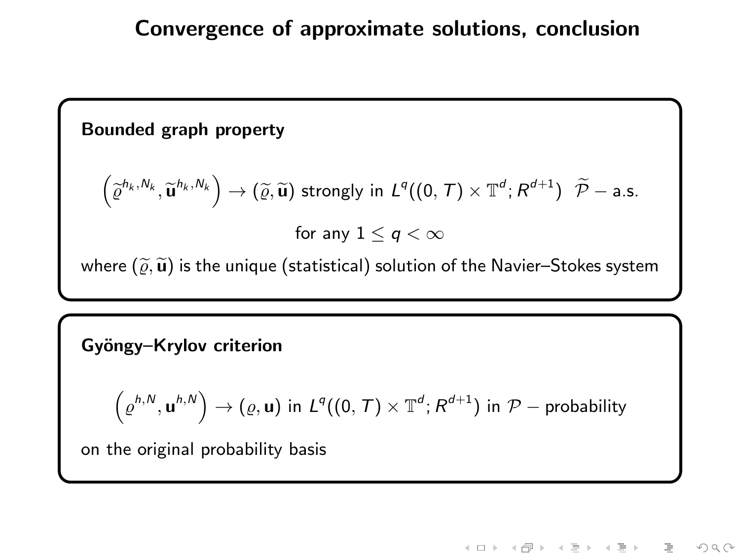#### Bounded graph property

$$
\left(\widetilde{\varrho}^{h_k,N_k},\widetilde{\mathbf{u}}^{h_k,N_k}\right)\to\left(\widetilde{\varrho},\widetilde{\mathbf{u}}\right)\,\text{strongly in}\,\,L^q((0,\,T)\times\mathbb{T}^d;\,R^{d+1})\,\,\,\widetilde{\mathcal{P}}-\text{a.s.}
$$
\n
$$
\text{for any}\,\,1\leq q<\infty
$$

where  $(\widetilde\varrho, \widetilde{\mathbf{u}})$  is the unique (statistical) solution of the Navier–Stokes system

#### Gyöngy-Krylov criterion

$$
\left(\varrho^{h,N},\mathbf{u}^{h,N}\right)\rightarrow \left(\varrho,\mathbf{u}\right)\text{ in }L^{q}((0,\,\mathcal{T})\times\mathbb{T}^{d};R^{d+1})\text{ in }\mathcal{P}-\text{probability}
$$

on the original probability basis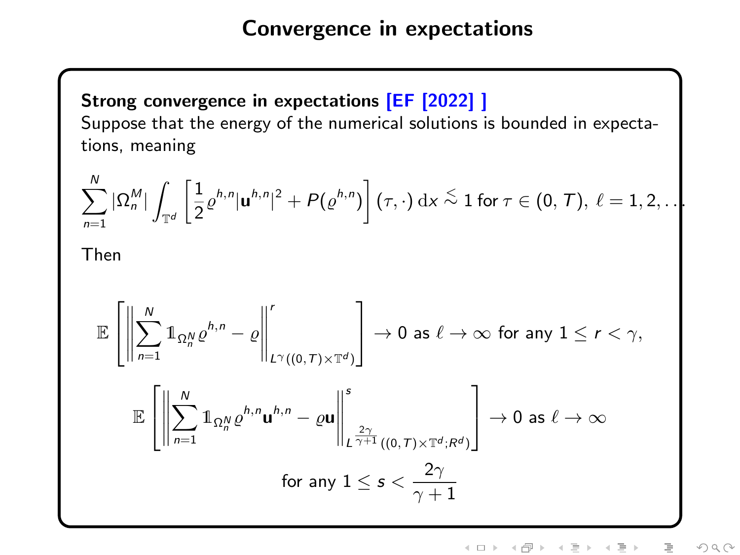Strong convergence in expectations [EF [2022] ] Suppose that the energy of the numerical solutions is bounded in expectations, meaning

$$
\sum_{n=1}^N |\Omega_n^M| \int_{\mathbb{T}^d} \left[ \frac{1}{2} \varrho^{h,n} |\mathbf{u}^{h,n}|^2 + P(\varrho^{h,n}) \right] (\tau, \cdot) \, \mathrm{d}x \stackrel{\leq}{\sim} 1 \text{ for } \tau \in (0, T), \ \ell = 1, 2, \ldots
$$
Then

$$
\mathbb{E}\left[\left\|\sum_{n=1}^{N}1\!\!1_{\Omega_{n}^{N}}\varrho^{h,n}-\varrho\right\|_{L^{\gamma}((0,T)\times\mathbb{T}^{d})}^{r}\right]\to 0 \text{ as } \ell\to\infty \text{ for any } 1\leq r<\gamma,
$$
  

$$
\mathbb{E}\left[\left\|\sum_{n=1}^{N}1\!\!1_{\Omega_{n}^{N}}\varrho^{h,n}\mathbf{u}^{h,n}-\varrho\mathbf{u}\right\|_{L^{\frac{2\gamma}{\gamma+1}}((0,T)\times\mathbb{T}^{d};R^{d})}^{s}\right]\to 0 \text{ as } \ell\to\infty
$$
  
for any  $1\leq s<\frac{2\gamma}{\gamma+1}$ 

イロト イ部ト イミト イミト 目  $OQ$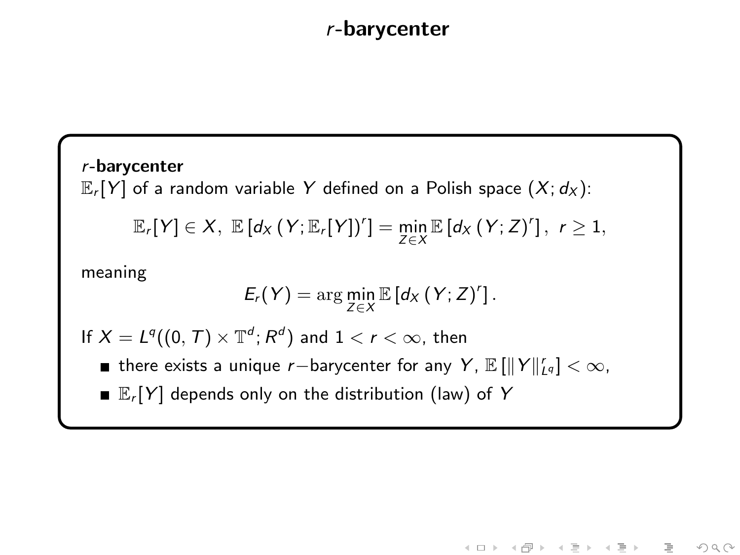### r-barycenter

r-barycenter  $\mathbb{E}_r[Y]$  of a random variable Y defined on a Polish space  $(X; d_X)$ :  $\mathbb{E}_r[Y] \in X$ ,  $\mathbb{E}[d_X(Y; \mathbb{E}_r[Y])'] = \min_{Z \in X} \mathbb{E}[d_X(Y; Z)']$ ,  $r \geq 1$ , meaning  $E_r(Y) = \arg\min_{Z \in X} \mathbb{E} [d_X(Y; Z)^r].$ If  $X = L^q((0, T) \times \mathbb{T}^d; R^d)$  and  $1 < r < \infty$ , then there exists a unique r $-$ barycenter for any Y,  $\mathbb{E}\left[\|Y\|_{L^q}^r\right]<\infty$ ,  $\mathbb{E}_r[Y]$  depends only on the distribution (law) of Y

《ロト 《图》 《君》 《君》

 $OQ$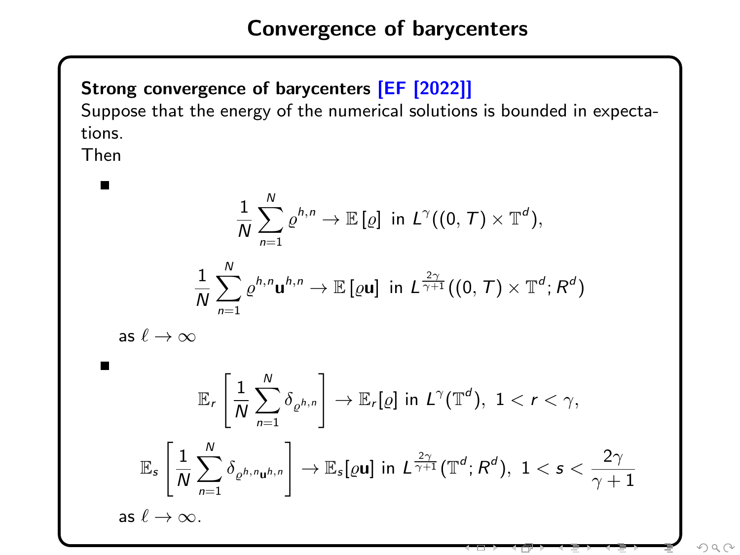### Strong convergence of barycenters [EF [2022]]

Suppose that the energy of the numerical solutions is bounded in expectations.

Then Н

 $\blacksquare$ 

$$
\frac{1}{N} \sum_{n=1}^{N} \varrho^{h,n} \to \mathbb{E}\left[\varrho\right] \text{ in } L^{\gamma}((0, T) \times \mathbb{T}^{d}),
$$
  

$$
\frac{1}{N} \sum_{n=1}^{N} \varrho^{h,n} \mathbf{u}^{h,n} \to \mathbb{E}\left[\varrho \mathbf{u}\right] \text{ in } L^{\frac{2\gamma}{\gamma+1}}((0, T) \times \mathbb{T}^{d}; R^{d})
$$

as  $\ell \to \infty$ 

$$
\mathbb{E}_{r}\left[\frac{1}{N}\sum_{n=1}^{N}\delta_{\varrho^{h,n}}\right] \to \mathbb{E}_{r}[\varrho] \text{ in } L^{\gamma}(\mathbb{T}^{d}), 1 < r < \gamma,
$$
  

$$
\mathbb{E}_{s}\left[\frac{1}{N}\sum_{n=1}^{N}\delta_{\varrho^{h,n}\mathbf{u}^{h,n}}\right] \to \mathbb{E}_{s}[\varrho\mathbf{u}] \text{ in } L^{\frac{2\gamma}{\gamma+1}}(\mathbb{T}^{d}; R^{d}), 1 < s < \frac{2\gamma}{\gamma+1}
$$
  
as  $\ell \to \infty$ .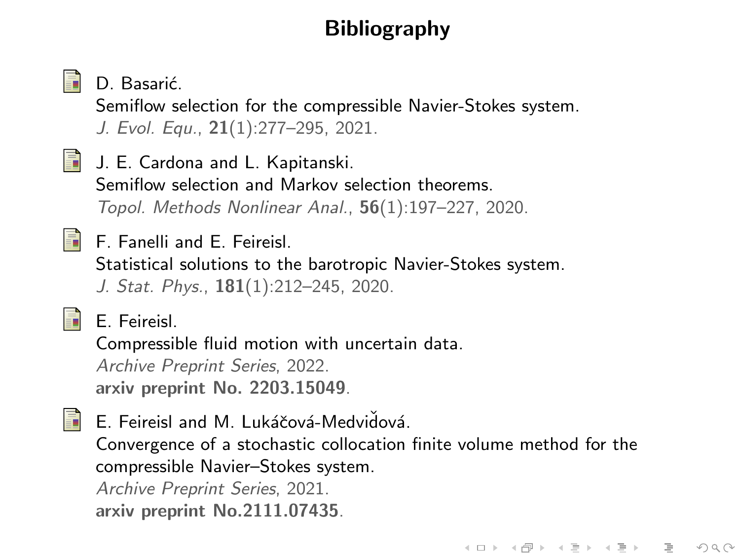# **Bibliography**



D. Basarić.

Semiflow selection for the compressible Navier-Stokes system. J. Evol. Equ., 21(1):277–295, 2021.



**J. E. Cardona and L. Kapitanski.** Semiflow selection and Markov selection theorems.

Topol. Methods Nonlinear Anal., 56(1):197–227, 2020.



F. Fanelli and E. Feireisl.

Statistical solutions to the barotropic Navier-Stokes system. J. Stat. Phys., 181(1):212–245, 2020.



E. Feireisl.

Compressible fluid motion with uncertain data. Archive Preprint Series, 2022. arxiv preprint No. 2203.15049.

螶

E. Feireisl and M. Lukáčová-Medvidová. Convergence of a stochastic collocation finite volume method for the compressible Navier–Stokes system. Archive Preprint Series, 2021. arxiv preprint No.2111.07435.